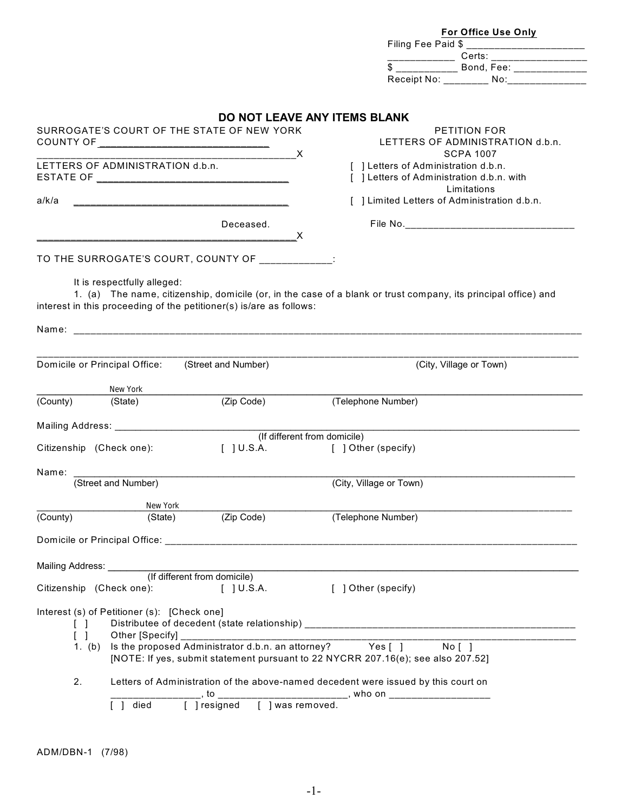|                                                                               |                                             |                                                                                                                                                                                                                                                                                                                                                                                                                                                                                 | For Office Use Only                                                                                                                                   |
|-------------------------------------------------------------------------------|---------------------------------------------|---------------------------------------------------------------------------------------------------------------------------------------------------------------------------------------------------------------------------------------------------------------------------------------------------------------------------------------------------------------------------------------------------------------------------------------------------------------------------------|-------------------------------------------------------------------------------------------------------------------------------------------------------|
|                                                                               |                                             |                                                                                                                                                                                                                                                                                                                                                                                                                                                                                 | Filing Fee Paid \$ ___________________________                                                                                                        |
|                                                                               |                                             |                                                                                                                                                                                                                                                                                                                                                                                                                                                                                 |                                                                                                                                                       |
|                                                                               |                                             |                                                                                                                                                                                                                                                                                                                                                                                                                                                                                 | Receipt No: ________ No: ______________                                                                                                               |
|                                                                               |                                             |                                                                                                                                                                                                                                                                                                                                                                                                                                                                                 |                                                                                                                                                       |
|                                                                               |                                             |                                                                                                                                                                                                                                                                                                                                                                                                                                                                                 | DO NOT LEAVE ANY ITEMS BLANK                                                                                                                          |
|                                                                               |                                             | SURROGATE'S COURT OF THE STATE OF NEW YORK                                                                                                                                                                                                                                                                                                                                                                                                                                      | <b>PETITION FOR</b>                                                                                                                                   |
|                                                                               |                                             |                                                                                                                                                                                                                                                                                                                                                                                                                                                                                 | LETTERS OF ADMINISTRATION d.b.n.                                                                                                                      |
|                                                                               |                                             | $\overline{\phantom{a}}$ $\overline{\phantom{a}}$ $\overline{\phantom{a}}$ $\overline{\phantom{a}}$ $\overline{\phantom{a}}$ $\overline{\phantom{a}}$ $\overline{\phantom{a}}$ $\overline{\phantom{a}}$ $\overline{\phantom{a}}$ $\overline{\phantom{a}}$ $\overline{\phantom{a}}$ $\overline{\phantom{a}}$ $\overline{\phantom{a}}$ $\overline{\phantom{a}}$ $\overline{\phantom{a}}$ $\overline{\phantom{a}}$ $\overline{\phantom{a}}$ $\overline{\phantom{a}}$ $\overline{\$ | <b>SCPA 1007</b>                                                                                                                                      |
|                                                                               | LETTERS OF ADMINISTRATION d.b.n.            |                                                                                                                                                                                                                                                                                                                                                                                                                                                                                 | [ ] Letters of Administration d.b.n.<br>[ ] Letters of Administration d.b.n. with                                                                     |
|                                                                               |                                             |                                                                                                                                                                                                                                                                                                                                                                                                                                                                                 | Limitations                                                                                                                                           |
| a/k/a                                                                         |                                             |                                                                                                                                                                                                                                                                                                                                                                                                                                                                                 | [ ] Limited Letters of Administration d.b.n.                                                                                                          |
|                                                                               |                                             | Deceased.                                                                                                                                                                                                                                                                                                                                                                                                                                                                       |                                                                                                                                                       |
|                                                                               |                                             | X                                                                                                                                                                                                                                                                                                                                                                                                                                                                               |                                                                                                                                                       |
|                                                                               |                                             |                                                                                                                                                                                                                                                                                                                                                                                                                                                                                 |                                                                                                                                                       |
|                                                                               |                                             | TO THE SURROGATE'S COURT, COUNTY OF ________                                                                                                                                                                                                                                                                                                                                                                                                                                    | $\blacksquare$                                                                                                                                        |
|                                                                               | It is respectfully alleged:                 |                                                                                                                                                                                                                                                                                                                                                                                                                                                                                 |                                                                                                                                                       |
|                                                                               |                                             |                                                                                                                                                                                                                                                                                                                                                                                                                                                                                 | 1. (a) The name, citizenship, domicile (or, in the case of a blank or trust company, its principal office) and                                        |
|                                                                               |                                             | interest in this proceeding of the petitioner(s) is/are as follows:                                                                                                                                                                                                                                                                                                                                                                                                             |                                                                                                                                                       |
|                                                                               |                                             |                                                                                                                                                                                                                                                                                                                                                                                                                                                                                 |                                                                                                                                                       |
|                                                                               |                                             |                                                                                                                                                                                                                                                                                                                                                                                                                                                                                 |                                                                                                                                                       |
|                                                                               |                                             |                                                                                                                                                                                                                                                                                                                                                                                                                                                                                 |                                                                                                                                                       |
|                                                                               |                                             |                                                                                                                                                                                                                                                                                                                                                                                                                                                                                 |                                                                                                                                                       |
|                                                                               | Domicile or Principal Office:               | (Street and Number)                                                                                                                                                                                                                                                                                                                                                                                                                                                             | (City, Village or Town)                                                                                                                               |
|                                                                               | $\blacksquare$ New York                     |                                                                                                                                                                                                                                                                                                                                                                                                                                                                                 |                                                                                                                                                       |
|                                                                               | (State)                                     | (Zip Code)                                                                                                                                                                                                                                                                                                                                                                                                                                                                      | (Telephone Number)                                                                                                                                    |
|                                                                               |                                             |                                                                                                                                                                                                                                                                                                                                                                                                                                                                                 |                                                                                                                                                       |
|                                                                               |                                             |                                                                                                                                                                                                                                                                                                                                                                                                                                                                                 | (If different from domicile)                                                                                                                          |
|                                                                               |                                             | $[$ ] U.S.A.                                                                                                                                                                                                                                                                                                                                                                                                                                                                    | [ ] Other (specify)                                                                                                                                   |
|                                                                               |                                             |                                                                                                                                                                                                                                                                                                                                                                                                                                                                                 |                                                                                                                                                       |
|                                                                               |                                             |                                                                                                                                                                                                                                                                                                                                                                                                                                                                                 |                                                                                                                                                       |
|                                                                               |                                             | (Street and Number)                                                                                                                                                                                                                                                                                                                                                                                                                                                             | (City, Village or Town)                                                                                                                               |
|                                                                               | New York                                    |                                                                                                                                                                                                                                                                                                                                                                                                                                                                                 |                                                                                                                                                       |
|                                                                               | (State)                                     | (Zip Code)                                                                                                                                                                                                                                                                                                                                                                                                                                                                      | (Telephone Number)                                                                                                                                    |
|                                                                               |                                             |                                                                                                                                                                                                                                                                                                                                                                                                                                                                                 |                                                                                                                                                       |
|                                                                               |                                             |                                                                                                                                                                                                                                                                                                                                                                                                                                                                                 |                                                                                                                                                       |
| (County)<br>Citizenship (Check one):<br>Name:<br>(County)<br>Mailing Address: |                                             |                                                                                                                                                                                                                                                                                                                                                                                                                                                                                 |                                                                                                                                                       |
|                                                                               |                                             | (If different from domicile)                                                                                                                                                                                                                                                                                                                                                                                                                                                    |                                                                                                                                                       |
| Citizenship (Check one):                                                      |                                             | $\lceil$ $\rfloor$ U.S.A.                                                                                                                                                                                                                                                                                                                                                                                                                                                       | [ ] Other (specify)                                                                                                                                   |
|                                                                               | Interest (s) of Petitioner (s): [Check one] |                                                                                                                                                                                                                                                                                                                                                                                                                                                                                 |                                                                                                                                                       |
|                                                                               |                                             |                                                                                                                                                                                                                                                                                                                                                                                                                                                                                 |                                                                                                                                                       |
| $\begin{bmatrix} 1 \end{bmatrix}$                                             | Other [Specify]                             |                                                                                                                                                                                                                                                                                                                                                                                                                                                                                 |                                                                                                                                                       |
| 1. $(b)$                                                                      |                                             | Is the proposed Administrator d.b.n. an attorney? Yes [ ]                                                                                                                                                                                                                                                                                                                                                                                                                       | No [ ]<br>[NOTE: If yes, submit statement pursuant to 22 NYCRR 207.16(e); see also 207.52]                                                            |
|                                                                               |                                             |                                                                                                                                                                                                                                                                                                                                                                                                                                                                                 |                                                                                                                                                       |
| 2.                                                                            |                                             |                                                                                                                                                                                                                                                                                                                                                                                                                                                                                 | Letters of Administration of the above-named decedent were issued by this court on<br>____, to _________________________, who on ____________________ |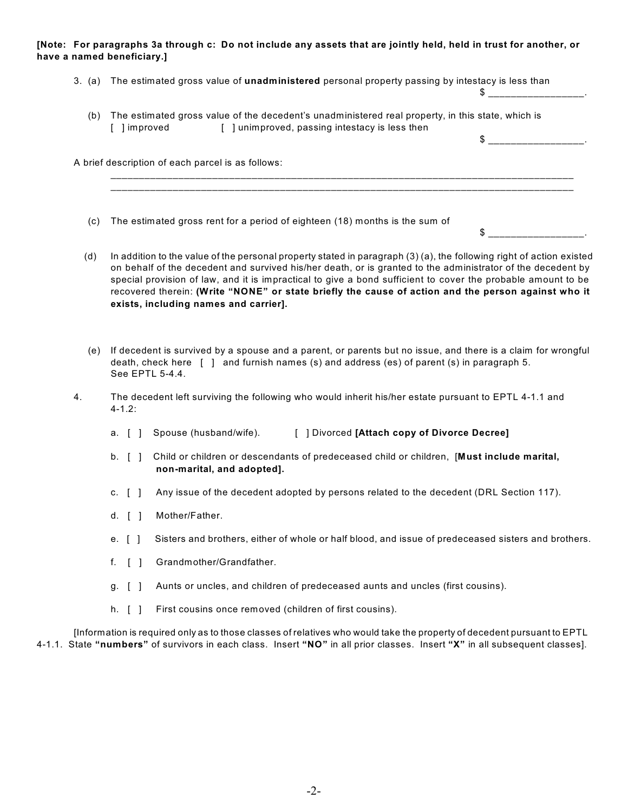## **[Note: For paragraphs 3a through c: Do not include any assets that are jointly held, held in trust for another, or have a named beneficiary.]**

| 3. (a) The estimated gross value of <b>unadministered</b> personal property passing by intestacy is less than |  |
|---------------------------------------------------------------------------------------------------------------|--|
|                                                                                                               |  |

 (b) The estimated gross value of the decedent's unadministered real property, in this state, which is [ ] improved [ ] unimproved, passing intestacy is less then  $\updownarrow$ 

A brief description of each parcel is as follows:

- (c) The estimated gross rent for a period of eighteen (18) months is the sum of
- (d) In addition to the value of the personal property stated in paragraph (3) (a), the following right of action existed on behalf of the decedent and survived his/her death, or is granted to the administrator of the decedent by special provision of law, and it is impractical to give a bond sufficient to cover the probable amount to be recovered therein: **(Write "NONE" or state briefly the cause of action and the person against who it exists, including names and carrier].**

\_\_\_\_\_\_\_\_\_\_\_\_\_\_\_\_\_\_\_\_\_\_\_\_\_\_\_\_\_\_\_\_\_\_\_\_\_\_\_\_\_\_\_\_\_\_\_\_\_\_\_\_\_\_\_\_\_\_\_\_\_\_\_\_\_\_\_\_\_\_\_\_\_\_\_\_\_\_\_\_\_\_ \_\_\_\_\_\_\_\_\_\_\_\_\_\_\_\_\_\_\_\_\_\_\_\_\_\_\_\_\_\_\_\_\_\_\_\_\_\_\_\_\_\_\_\_\_\_\_\_\_\_\_\_\_\_\_\_\_\_\_\_\_\_\_\_\_\_\_\_\_\_\_\_\_\_\_\_\_\_\_\_\_\_

 $\frac{1}{2}$   $\frac{1}{2}$   $\frac{1}{2}$   $\frac{1}{2}$   $\frac{1}{2}$   $\frac{1}{2}$   $\frac{1}{2}$   $\frac{1}{2}$   $\frac{1}{2}$   $\frac{1}{2}$   $\frac{1}{2}$   $\frac{1}{2}$   $\frac{1}{2}$   $\frac{1}{2}$   $\frac{1}{2}$   $\frac{1}{2}$   $\frac{1}{2}$   $\frac{1}{2}$   $\frac{1}{2}$   $\frac{1}{2}$   $\frac{1}{2}$   $\frac{1}{2}$ 

- (e) If decedent is survived by a spouse and a parent, or parents but no issue, and there is a claim for wrongful death, check here [ ] and furnish names (s) and address (es) of parent (s) in paragraph 5. See EPTL 5-4.4.
- 4. The decedent left surviving the following who would inherit his/her estate pursuant to EPTL 4-1.1 and 4-1.2:
	- a. [ ] Spouse (husband/wife). [ ] Divorced **[Attach copy of Divorce Decree]**
	- b. [ ] Child or children or descendants of predeceased child or children, [**Must include marital, non-marital, and adopted].**
	- c. [ ] Any issue of the decedent adopted by persons related to the decedent (DRL Section 117).
	- d. [ ] Mother/Father.
	- e. [ ] Sisters and brothers, either of whole or half blood, and issue of predeceased sisters and brothers.
	- f. [ ] Grandmother/Grandfather.
	- g. [ ] Aunts or uncles, and children of predeceased aunts and uncles (first cousins).
	- h. [ ] First cousins once removed (children of first cousins).

[Information is required only as to those classes of relatives who would take the property of decedent pursuant to EPTL 4-1.1. State **"numbers"** of survivors in each class. Insert **"NO"** in all prior classes. Insert **"X"** in all subsequent classes].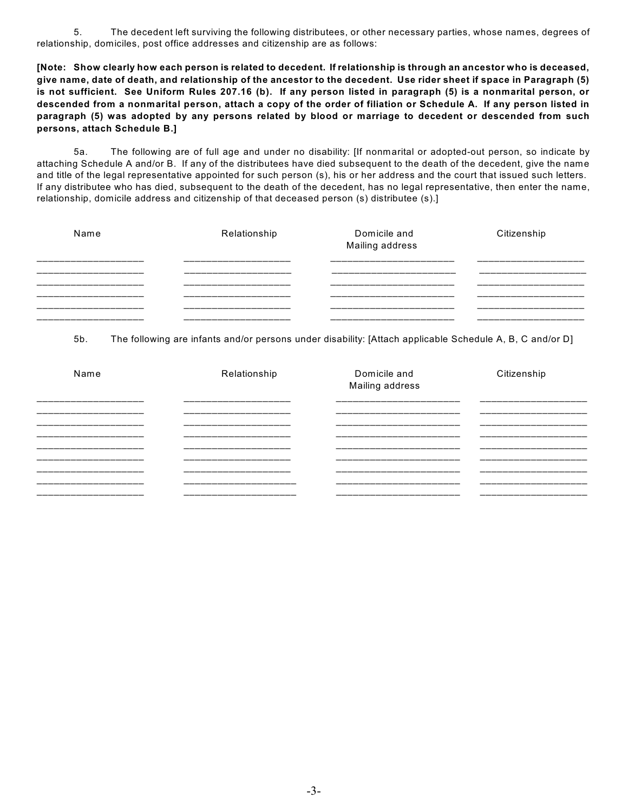5. The decedent left surviving the following distributees, or other necessary parties, whose names, degrees of relationship, domiciles, post office addresses and citizenship are as follows:

**[Note: Show clearly how each person is related to decedent. If relationship is through an ancestor who is deceased, give name, date of death, and relationship of the ancestor to the decedent. Use rider sheet if space in Paragraph (5) is not sufficient. See Uniform Rules 207.16 (b). If any person listed in paragraph (5) is a nonmarital person, or descended from a nonmarital person, attach a copy of the order of filiation or Schedule A. If any person listed in paragraph (5) was adopted by any persons related by blood or marriage to decedent or descended from such persons, attach Schedule B.]**

5a. The following are of full age and under no disability: [If nonmarital or adopted-out person, so indicate by attaching Schedule A and/or B. If any of the distributees have died subsequent to the death of the decedent, give the name and title of the legal representative appointed for such person (s), his or her address and the court that issued such letters. If any distributee who has died, subsequent to the death of the decedent, has no legal representative, then enter the name, relationship, domicile address and citizenship of that deceased person (s) distributee (s).]

| Name                                                                                                                | Relationship                                                                                                  | Domicile and<br>Mailing address                                                                                    | Citizenship                                                                                                   |
|---------------------------------------------------------------------------------------------------------------------|---------------------------------------------------------------------------------------------------------------|--------------------------------------------------------------------------------------------------------------------|---------------------------------------------------------------------------------------------------------------|
| المستراسين المستراسين المستراسين المستراسين المستراسين المستراسين المستراسين المستراسين المستراسين المستراسا        | والمنافسة فالمستراه المتناقصة فسنتراهم فسنترا فستراهض فسينت المستراه المتناقص فالمنافس فالمستراه              | أحمدا المساركين المساركين المساركين المساركين المساركين المساركين المساركين المساركين المساركين المساركين          | المستراسات المستراسات المستراسات المستراسات المستراسات المستراسات المستراسات المستراسات                       |
| ____________________                                                                                                | __________________                                                                                            |                                                                                                                    | ____________________                                                                                          |
| المستراسين المستراسين المستراسين المستراسين المستراسين المستراسين المستراسين المستراسين                             | المستراسين فسيرا فسيراس المستراسين فسيرا مستراسين فسيرا مستراسين فسيرا مستراسين فسيرا                         | أحسن المسار المسار المسار المسار المسار المسار المسار المسار المسار المسار المسار المسار المسار المسار المسارات    | والمتواصل المتواصل المتواصل المتواطن المتواطن المتواطن المتواطن المتواطن المتواطن                             |
| المستراسين فسيرا والمراجعة والمراجعة والمراجعة والمراجعة والمراجعة والمراجعة والمراجعة والمراجعة والمراجعة والمراجع | المستراسات المستراسات المستراسات المستراسات المستراسات المستراسات المستراسات المستراسات المستراسات المستراسات | أحسن المسارسين المسارسين المسارسين المسارسين المسارسين المسارسين المسارسين المسارسين المسارسين المسارسين المسار    | المستراسين المستراسين المستراسين المستراسين المستراسين المستراسين المستراسين المستراسين المستراسين المستراسين |
| المستراسات المستراسات المستراسات المستراسات المستراسات المستراسات المستراسات المستراسات                             | المستراسين فسيرا والمستراسين فسيرا مستراسين فسيرا مستراسين فسيرا مستراسين فسيرا فسيرا فسيرا فسيرا             | أحسن المسارسين المسارسين المسارسين المسارسين المسارسين المسارسين المسارسين المسارسين المسارسين المسارسين المسارسين | المستراسات المستراسات المستراسات المستراسات أعطار المستراسات المستراسات المستراسات المستراسات                 |
| المستراسات أستراك المستراسات المستراسات أستراكا المستراسات المستراسات المستراسات المستراسات المستراسات المستراسات   | المستراسات المستراسات المستراسات المستراسات المستراسات المستراسات المستراسات المستراسات المستراسات المستراسات | أحسن المسارسين المسارسين المسارسين المسارسين المسارسين المسارسين المسارسين المسارسين المسارسين المسارسين المسار    | المستراسات المستراسات المستراسات المستراسات المستراسات المستراسات المستراسات المستراسات المستراسات المستراسات |

5b. The following are infants and/or persons under disability: [Attach applicable Schedule A, B, C and/or D]

| Name                                                                                                                                                                                                              | Relationship                                                                                                                                                                                                                                                                                                                       | Domicile and<br>Mailing address                                                                                                                                                                                                                                                                                    | Citizenship                                                                                                                                                                                                                                                                                                                                    |
|-------------------------------------------------------------------------------------------------------------------------------------------------------------------------------------------------------------------|------------------------------------------------------------------------------------------------------------------------------------------------------------------------------------------------------------------------------------------------------------------------------------------------------------------------------------|--------------------------------------------------------------------------------------------------------------------------------------------------------------------------------------------------------------------------------------------------------------------------------------------------------------------|------------------------------------------------------------------------------------------------------------------------------------------------------------------------------------------------------------------------------------------------------------------------------------------------------------------------------------------------|
| المستراسات المستراسات المستراسات المستراسات المستراسات المستراسات المستراسات المستراسات المستراسات المستراسات<br>المسترامين فسينت والمسترامين فسينت والمسترامين فسيتر مسترامين فسيتر فسيتر المسترامين والمسترامين | المستراسين المستراسين المستراسين المستراسين المستراسين المستراسين المستراسين المستراسين المستراسين المستراسين<br>المستراسين فسيتراسخ المستراسين فسيتراسخ المستراسين المستراسين فسيرا فسيتراس المستراسين المستراسين<br>المستراهات والمستراه المستراهات المستراهات المستراهات المستراهات المستراهات المستراهات المستراهات المستراهات | المستراسات المستراسين المستراسين المستراسين المستراسين المستراسين المستراسين المستراسين المستراسين المستراسين<br>أحسانهم المساحمة المساحمة المساحمة المساحمة المساحمة المساحمة المساحمة المساحمة المساحمة المساحمة المساحمة<br>المسترقصان فسيتمسخ فسيتمسخ فسيتمسخ فسيتمسخ فسيتمسخ فسيتمسخ فسيتمسخ فسيتم المسترقصات | المستراسات المستراسات المستراسات المستراسات المستراسات المستراسات المستراسات المستراسات المستراسات المستراسات<br>المستراسية فسيرت سيرت سيترت والمراجعة وسيرت سيرت سيرت سيرت والمراجعة والمراجعة والمراجعة والمراجعة والمراجعة<br>المستراسات المستراسات المستراسات المستراسات المستراسات المستراسات المستراسات المستراسات المستراسات المستراسات |
| المستراسات المستراسات المستراسات المستراسات المستراسات المستراسات المستراسات المستراسات المستراسات المستراسات                                                                                                     | المستراسين فسيرا مستراسين فسيرا مستراسين فسيرا وسيرا مستراسين فسيرا مستراسين فسيرا فسيرا مستراسين                                                                                                                                                                                                                                  | المسترقصان فسيتمسخ فسيتمسخ فسيتمسخ فسيتمسخ فسيتمسخ فسيتمسخ فسيتمسخ فسيتم المسترقصات                                                                                                                                                                                                                                | المستراسين فسيرت ومستراسين فسيرت مستراسين فسيرت مستراسين فسيرت مستراسين فسيرت والمراقب                                                                                                                                                                                                                                                         |
|                                                                                                                                                                                                                   | أحسن المستراسين المستراسين المستراسين المستراسين المستراسين المستراسين المستراسين المستراسين المستراسين المستراسين                                                                                                                                                                                                                 | أحسن المتراجعة المسارسين المسارسين المسارسين المسارسين المسارسين المسارسين المسارسين المسارسين المسارسين المسارسين                                                                                                                                                                                                 | أحسن المسار المسار المسار المسار المسار المسار المسار المسار المسار المسار المسار المسار المسار المسار المسار المسار                                                                                                                                                                                                                           |
| المستراسات المستراسات المستراسات المستراسات المستراسات المستراسات المستراسات المستراسات المستراسات المستراسات                                                                                                     | المستراسية فسيرا مستراسية فسيرا مستراسية فسيرا مستراسية فسيرا مستراسية فسيرا مستراسية المتراسية فسيرا وسيرا                                                                                                                                                                                                                        | المسترقصان المسترقصان المسترقصان المسترقصان المسترقصان المسترقصان المسترقصان المسترقصان المسترقصان                                                                                                                                                                                                                 |                                                                                                                                                                                                                                                                                                                                                |
| المستراسية فسينا فسينا مستراسية فاستناق مستراسية والمناقصة فسينا فسينا فسينا فسينا والمناقصة                                                                                                                      |                                                                                                                                                                                                                                                                                                                                    |                                                                                                                                                                                                                                                                                                                    | المستراسية فسيرت سينار مستراسين فسين مستراسين فسيرت مستراسين فسيرت مستراسين فسيرت والمراقب                                                                                                                                                                                                                                                     |
| المستراسات المستراسات المستراسات المستراسات المستراسات المستراسات المستراسات المستراسات المستراسات المستراسات                                                                                                     | أحسن المساركين المساركين المساركين المساركين المساركين المساركين المساركين المساركين المساركين المساركين                                                                                                                                                                                                                           | أحسابهم المساحما ومالحا ومالحا ومناصر ومالحا ومالحا والمارد والمراجع والماري والماري والماري والماري                                                                                                                                                                                                               | المسترقصان فسأنسخ المسترقصان فستراهض المسترقصان فستراهض المسترقصان المسترقصات المسترقصات                                                                                                                                                                                                                                                       |
| المستراسية فسينا فسينا مستراسية فاستناق مستراسية والمناقصة فسينا فسينا فسينا فسينا والمناقصة                                                                                                                      | المساركات المساركات المساركات المساركات المساركات المساركات المساركات المساركات المساركات المساركات المساركات                                                                                                                                                                                                                      | أستراحت المناصر المراجعا متناصر المراجعا ومناصراتهم المراجعا ومراجعا والمراجعا والمراجعات والمراجعات                                                                                                                                                                                                               |                                                                                                                                                                                                                                                                                                                                                |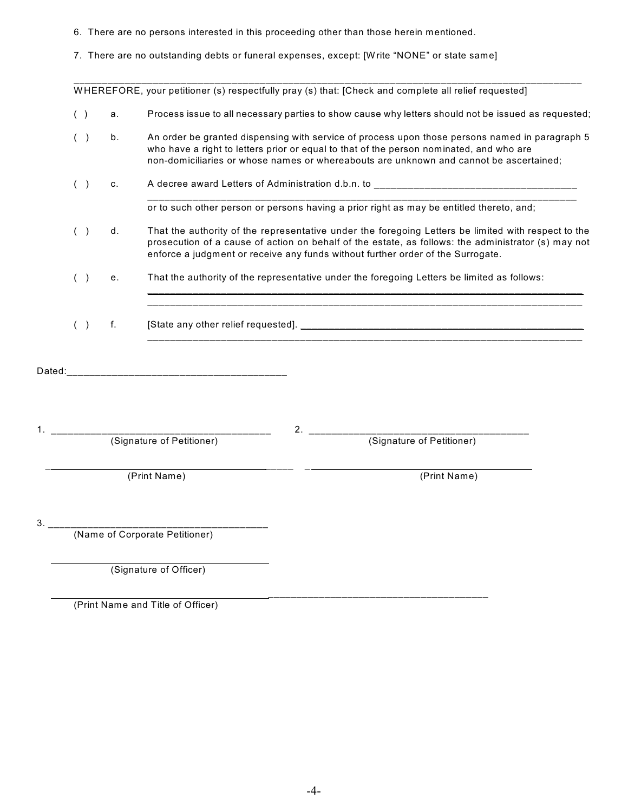- 6. There are no persons interested in this proceeding other than those herein mentioned.
- 7. There are no outstanding debts or funeral expenses, except: [W rite "NONE" or state same]

\_\_\_\_\_\_\_\_\_\_\_\_\_\_\_\_\_\_\_\_\_\_\_\_\_\_\_\_\_\_\_\_\_\_\_\_\_\_\_\_\_\_\_\_\_\_\_\_\_\_\_\_\_\_\_\_\_\_\_\_\_\_\_\_\_\_\_\_\_\_\_\_\_\_\_\_\_\_\_\_\_\_\_\_\_\_\_\_\_\_ W HEREFORE, your petitioner (s) respectfully pray (s) that: [Check and complete all relief requested]

- ( ) a. Process issue to all necessary parties to show cause why letters should not be issued as requested;
- ( ) b. An order be granted dispensing with service of process upon those persons named in paragraph 5 who have a right to letters prior or equal to that of the person nominated, and who are non-domiciliaries or whose names or whereabouts are unknown and cannot be ascertained;
- () c. A decree award Letters of Administration d.b.n. to \_\_\_\_\_\_\_\_\_\_\_\_\_\_\_\_\_\_\_\_\_\_\_ \_\_\_\_\_\_\_\_\_\_\_\_\_\_\_\_\_\_\_\_\_\_\_\_\_\_\_\_\_\_\_\_\_\_\_\_\_\_\_\_\_\_\_\_\_\_\_\_\_\_\_\_\_\_\_\_\_\_\_\_\_\_\_\_\_\_\_\_\_\_\_\_\_\_\_\_

or to such other person or persons having a prior right as may be entitled thereto, and;

\_\_\_\_\_\_\_\_\_\_\_\_\_\_\_\_\_\_\_\_\_\_\_\_\_\_\_\_\_\_\_\_\_\_\_\_\_\_\_\_\_\_\_\_\_\_\_\_\_\_\_\_\_\_\_\_\_\_\_\_\_\_\_\_\_\_\_\_\_\_\_\_\_\_\_\_\_ \_\_\_\_\_\_\_\_\_\_\_\_\_\_\_\_\_\_\_\_\_\_\_\_\_\_\_\_\_\_\_\_\_\_\_\_\_\_\_\_\_\_\_\_\_\_\_\_\_\_\_\_\_\_\_\_\_\_\_\_\_\_\_\_\_\_\_\_\_\_\_\_\_\_\_\_\_

\_\_\_\_\_\_\_\_\_\_\_\_\_\_\_\_\_\_\_\_\_\_\_\_\_\_\_\_\_\_\_\_\_\_\_\_\_\_\_\_\_\_\_\_\_\_\_\_\_\_\_\_\_\_\_\_\_\_\_\_\_\_\_\_\_\_\_\_\_\_\_\_\_\_\_\_\_

- ( ) d. That the authority of the representative under the foregoing Letters be limited with respect to the prosecution of a cause of action on behalf of the estate, as follows: the administrator (s) may not enforce a judgment or receive any funds without further order of the Surrogate.
- ( ) e. That the authority of the representative under the foregoing Letters be limited as follows:
- ( ) f. [State any other relief requested]. \_\_\_\_\_\_\_\_\_\_\_\_\_\_\_\_\_\_\_\_\_\_\_\_\_\_\_\_\_\_\_\_\_\_\_\_\_\_\_\_\_\_\_\_\_\_\_\_\_\_
- Dated:\_\_\_\_\_\_\_\_\_\_\_\_\_\_\_\_\_\_\_\_\_\_\_\_\_\_\_\_\_\_\_\_\_\_\_\_\_\_\_
- 1. \_\_\_\_\_\_\_\_\_\_\_\_\_\_\_\_\_\_\_\_\_\_\_\_\_\_\_\_\_\_\_\_\_\_\_\_\_\_\_ 2. \_\_\_\_\_\_\_\_\_\_\_\_\_\_\_\_\_\_\_\_\_\_\_\_\_\_\_\_\_\_\_\_\_\_\_\_\_\_\_ (Signature of Petitioner) (Signature of Petitioner)

\_ \_\_\_\_\_ \_

(Print Name) (Print Name)

3. \_\_\_\_\_\_\_\_\_\_\_\_\_\_\_\_\_\_\_\_\_\_\_\_\_\_\_\_\_\_\_\_\_\_\_\_\_\_\_

(Name of Corporate Petitioner)

(Signature of Officer)

 \_\_\_\_\_\_\_\_\_\_\_\_\_\_\_\_\_\_\_\_\_\_\_\_\_\_\_\_\_\_\_\_\_\_\_\_\_\_\_ (Print Name and Title of Officer)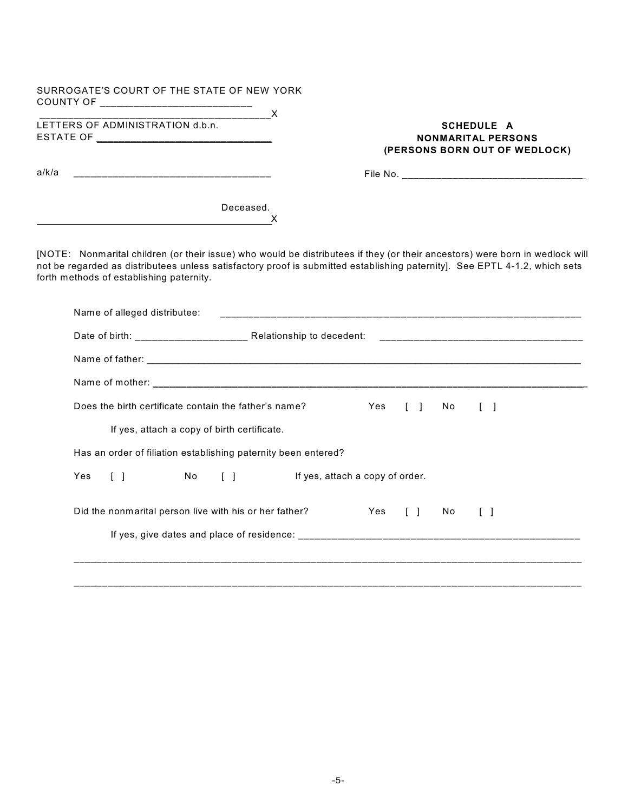| SURROGATE'S COURT OF THE STATE OF NEW YORK<br>COUNTY OF ____________________________ | $\vert \blacktriangledown \vert$                                                                                                                                                                                                                                                                                                                                                                                                                                                                                                                                   |
|--------------------------------------------------------------------------------------|--------------------------------------------------------------------------------------------------------------------------------------------------------------------------------------------------------------------------------------------------------------------------------------------------------------------------------------------------------------------------------------------------------------------------------------------------------------------------------------------------------------------------------------------------------------------|
| LETTERS OF ADMINISTRATION d.b.n.                                                     | $\overline{\phantom{a}}$ $\overline{\phantom{a}}$ $\overline{\phantom{a}}$ $\overline{\phantom{a}}$ $\overline{\phantom{a}}$ $\overline{\phantom{a}}$ $\overline{\phantom{a}}$ $\overline{\phantom{a}}$ $\overline{\phantom{a}}$ $\overline{\phantom{a}}$ $\overline{\phantom{a}}$ $\overline{\phantom{a}}$ $\overline{\phantom{a}}$ $\overline{\phantom{a}}$ $\overline{\phantom{a}}$ $\overline{\phantom{a}}$ $\overline{\phantom{a}}$ $\overline{\phantom{a}}$ $\overline{\$<br><b>SCHEDULE A</b><br><b>NONMARITAL PERSONS</b><br>(PERSONS BORN OUT OF WEDLOCK) |
| a/k/a                                                                                |                                                                                                                                                                                                                                                                                                                                                                                                                                                                                                                                                                    |
| <u> 1989 - Johann Stein, fransk politik (f. 1989)</u>                                | Deceased.<br>X                                                                                                                                                                                                                                                                                                                                                                                                                                                                                                                                                     |
| forth methods of establishing paternity.                                             | [NOTE: Nonmarital children (or their issue) who would be distributees if they (or their ancestors) were born in wedlock will<br>not be regarded as distributees unless satisfactory proof is submitted establishing paternity]. See EPTL 4-1.2, which sets                                                                                                                                                                                                                                                                                                         |
| Name of alleged distributee:                                                         |                                                                                                                                                                                                                                                                                                                                                                                                                                                                                                                                                                    |
|                                                                                      |                                                                                                                                                                                                                                                                                                                                                                                                                                                                                                                                                                    |
|                                                                                      |                                                                                                                                                                                                                                                                                                                                                                                                                                                                                                                                                                    |
|                                                                                      |                                                                                                                                                                                                                                                                                                                                                                                                                                                                                                                                                                    |
| Does the birth certificate contain the father's name?                                | Yes<br>$\begin{array}{ccc} \end{array}$<br>No.<br>$\lceil$ $\rceil$                                                                                                                                                                                                                                                                                                                                                                                                                                                                                                |
| If yes, attach a copy of birth certificate.                                          |                                                                                                                                                                                                                                                                                                                                                                                                                                                                                                                                                                    |
| Has an order of filiation establishing paternity been entered?                       |                                                                                                                                                                                                                                                                                                                                                                                                                                                                                                                                                                    |
| $\begin{bmatrix} 1 \end{bmatrix}$<br>Yes<br>$\lceil \rceil$<br>No l                  | If yes, attach a copy of order.                                                                                                                                                                                                                                                                                                                                                                                                                                                                                                                                    |
| Did the nonmarital person live with his or her father?                               | <b>Example ST</b><br>$\begin{array}{ccc} \begin{array}{ccc} \end{array} & \begin{array}{ccc} \end{array} & \end{array}$<br>$\begin{bmatrix} 1 \end{bmatrix}$<br>No l                                                                                                                                                                                                                                                                                                                                                                                               |
|                                                                                      |                                                                                                                                                                                                                                                                                                                                                                                                                                                                                                                                                                    |
|                                                                                      |                                                                                                                                                                                                                                                                                                                                                                                                                                                                                                                                                                    |
|                                                                                      |                                                                                                                                                                                                                                                                                                                                                                                                                                                                                                                                                                    |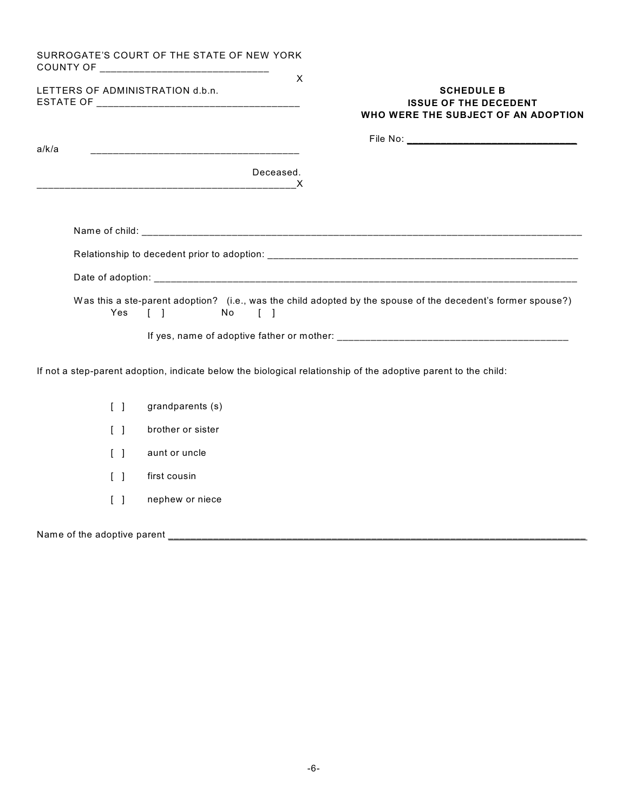|                                  | SURROGATE'S COURT OF THE STATE OF NEW YORK<br>X                                                                                |
|----------------------------------|--------------------------------------------------------------------------------------------------------------------------------|
| LETTERS OF ADMINISTRATION d.b.n. | <b>SCHEDULE B</b><br><b>ISSUE OF THE DECEDENT</b><br>WHO WERE THE SUBJECT OF AN ADOPTION                                       |
| a/k/a                            | <u> 1989 - Johann John Harry Hermann, fransk politik (d. 1989)</u>                                                             |
|                                  | Deceased.                                                                                                                      |
|                                  |                                                                                                                                |
|                                  |                                                                                                                                |
|                                  |                                                                                                                                |
|                                  | Was this a ste-parent adoption? (i.e., was the child adopted by the spouse of the decedent's former spouse?)<br>Yes [ ] No [ ] |
|                                  |                                                                                                                                |
|                                  | If not a step-parent adoption, indicate below the biological relationship of the adoptive parent to the child:                 |
| $\lceil \rceil$                  | grandparents (s)                                                                                                               |
| $\lceil \; \rceil$               | brother or sister                                                                                                              |
| $\lceil$ $\rceil$                | aunt or uncle                                                                                                                  |
| $\lceil$ $\rceil$                | first cousin                                                                                                                   |
| $\lceil$ $\rceil$                | nephew or niece                                                                                                                |

Name of the adoptive parent \_\_\_\_\_\_\_\_\_\_\_\_\_\_\_\_\_\_\_\_\_\_\_\_\_\_\_\_\_\_\_\_\_\_\_\_\_\_\_\_\_\_\_\_\_\_\_\_\_\_\_\_\_\_\_\_\_\_\_\_\_\_\_\_\_\_\_\_\_\_\_\_\_\_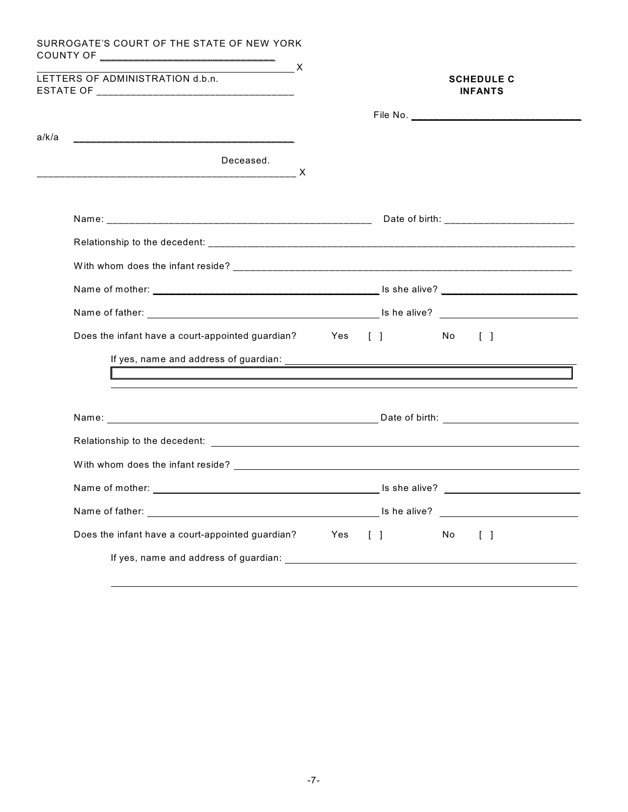| LETTERS OF ADMINISTRATION d.b.n.                              | $\overline{\phantom{a}}$ $\overline{\phantom{a}}$ $\overline{\phantom{a}}$ $\overline{\phantom{a}}$ $\overline{\phantom{a}}$ $\overline{\phantom{a}}$ $\overline{\phantom{a}}$ $\overline{\phantom{a}}$ $\overline{\phantom{a}}$ $\overline{\phantom{a}}$ $\overline{\phantom{a}}$ $\overline{\phantom{a}}$ $\overline{\phantom{a}}$ $\overline{\phantom{a}}$ $\overline{\phantom{a}}$ $\overline{\phantom{a}}$ $\overline{\phantom{a}}$ $\overline{\phantom{a}}$ $\overline{\$ |     |                                   |    | <b>SCHEDULE C</b><br><b>INFANTS</b>      |
|---------------------------------------------------------------|---------------------------------------------------------------------------------------------------------------------------------------------------------------------------------------------------------------------------------------------------------------------------------------------------------------------------------------------------------------------------------------------------------------------------------------------------------------------------------|-----|-----------------------------------|----|------------------------------------------|
|                                                               |                                                                                                                                                                                                                                                                                                                                                                                                                                                                                 |     |                                   |    |                                          |
| a/k/a                                                         |                                                                                                                                                                                                                                                                                                                                                                                                                                                                                 |     |                                   |    |                                          |
| Deceased.                                                     |                                                                                                                                                                                                                                                                                                                                                                                                                                                                                 |     |                                   |    |                                          |
|                                                               |                                                                                                                                                                                                                                                                                                                                                                                                                                                                                 |     |                                   |    |                                          |
|                                                               |                                                                                                                                                                                                                                                                                                                                                                                                                                                                                 |     |                                   |    |                                          |
|                                                               |                                                                                                                                                                                                                                                                                                                                                                                                                                                                                 |     |                                   |    |                                          |
|                                                               |                                                                                                                                                                                                                                                                                                                                                                                                                                                                                 |     |                                   |    |                                          |
|                                                               |                                                                                                                                                                                                                                                                                                                                                                                                                                                                                 |     |                                   |    |                                          |
| Does the infant have a court-appointed guardian? Yes [] No [] |                                                                                                                                                                                                                                                                                                                                                                                                                                                                                 |     |                                   |    |                                          |
|                                                               |                                                                                                                                                                                                                                                                                                                                                                                                                                                                                 |     |                                   |    |                                          |
|                                                               |                                                                                                                                                                                                                                                                                                                                                                                                                                                                                 |     |                                   |    |                                          |
|                                                               |                                                                                                                                                                                                                                                                                                                                                                                                                                                                                 |     |                                   |    |                                          |
|                                                               |                                                                                                                                                                                                                                                                                                                                                                                                                                                                                 |     |                                   |    |                                          |
|                                                               |                                                                                                                                                                                                                                                                                                                                                                                                                                                                                 |     |                                   |    |                                          |
|                                                               |                                                                                                                                                                                                                                                                                                                                                                                                                                                                                 |     |                                   |    |                                          |
|                                                               |                                                                                                                                                                                                                                                                                                                                                                                                                                                                                 |     | Is he alive?                      |    | <u> 1989 - Andrea State Barbara, pre</u> |
|                                                               |                                                                                                                                                                                                                                                                                                                                                                                                                                                                                 | Yes | $\begin{bmatrix} 1 \end{bmatrix}$ | No | $\begin{bmatrix} \end{bmatrix}$          |
| Does the infant have a court-appointed guardian?              |                                                                                                                                                                                                                                                                                                                                                                                                                                                                                 |     |                                   |    |                                          |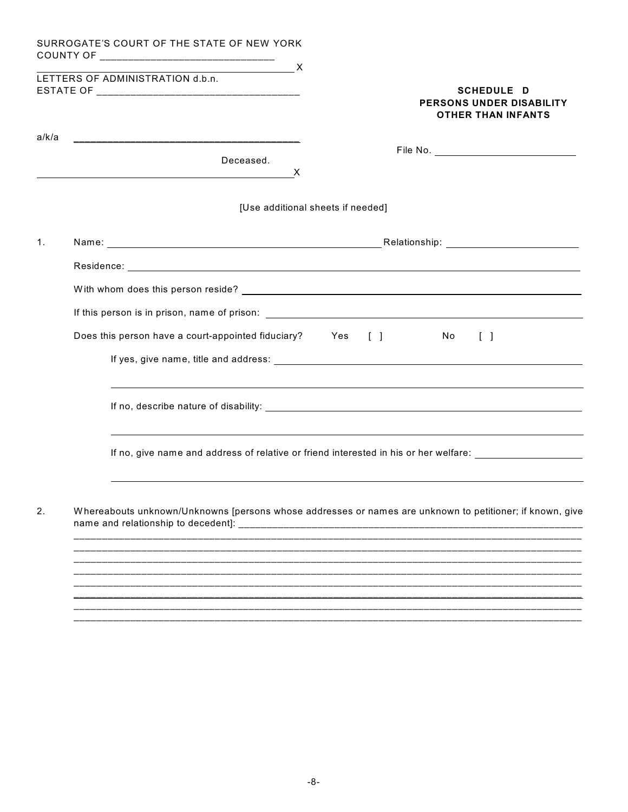|                | SURROGATE'S COURT OF THE STATE OF NEW YORK                                                                                                                                                                                    |
|----------------|-------------------------------------------------------------------------------------------------------------------------------------------------------------------------------------------------------------------------------|
|                | $\overline{\phantom{a}}$ x<br>LETTERS OF ADMINISTRATION d.b.n.<br><b>SCHEDULE D</b><br><b>PERSONS UNDER DISABILITY</b><br><b>OTHER THAN INFANTS</b>                                                                           |
| a/k/a          |                                                                                                                                                                                                                               |
|                | Deceased.<br>X<br><u> 1989 - Johann Stein, marwolaethau a bhann an t-Amhainn an t-Amhainn an t-Amhainn an t-Amhainn an t-Amhainn a</u>                                                                                        |
|                | [Use additional sheets if needed]                                                                                                                                                                                             |
| $\mathbf{1}$ . | Name: Name: Name: Name: Name: Name: Name: Name: Name: Name: Name: Name: Name: Name: Name: Name: Name: Name: Name: Name: Name: Name: Name: Name: Name: Name: Name: Name: Name: Name: Name: Name: Name: Name: Name: Name: Name: |
|                |                                                                                                                                                                                                                               |
|                |                                                                                                                                                                                                                               |
|                |                                                                                                                                                                                                                               |
|                | Does this person have a court-appointed fiduciary? Yes []<br>No.<br>$\Box$                                                                                                                                                    |
|                |                                                                                                                                                                                                                               |
|                | <u>a sa mga banda ang pagbabang ng mga banda ng mga banda ng mga banda ng mga banda ng mga banda ng mga banda</u>                                                                                                             |
|                | ,我们也不会有什么。""我们的人,我们也不会有什么?""我们的人,我们也不会有什么?""我们的人,我们也不会有什么?""我们的人,我们也不会有什么?""我们的人<br>If no, give name and address of relative or friend interested in his or her welfare: ________________________                             |
| 2.             | Whereabouts unknown/Unknowns [persons whose addresses or names are unknown to petitioner; if known, give                                                                                                                      |
|                |                                                                                                                                                                                                                               |
|                |                                                                                                                                                                                                                               |
|                |                                                                                                                                                                                                                               |
|                |                                                                                                                                                                                                                               |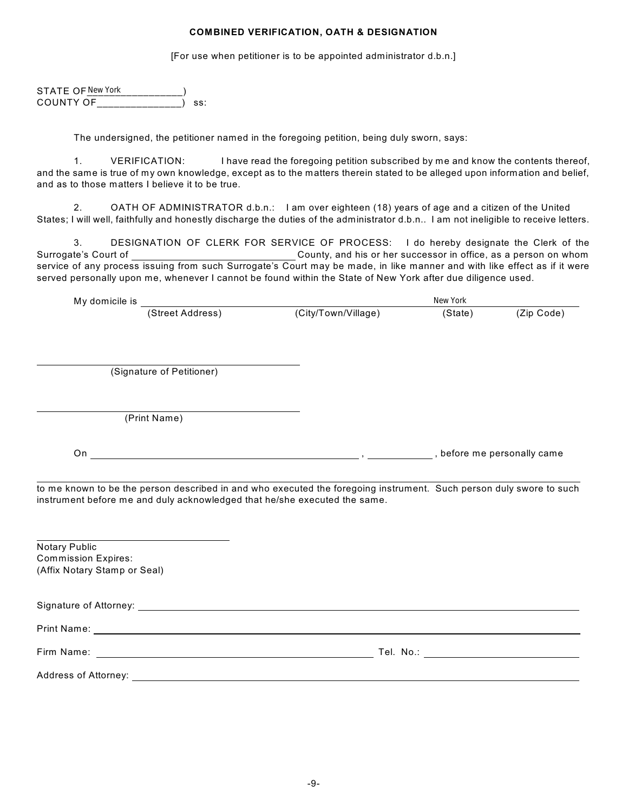## **COMBINED VERIFICATION, OATH & DESIGNATION**

[For use when petitioner is to be appointed administrator d.b.n.]

STATE OF  $\frac{\text{New York}}{\text{C}\cap \text{IINTY OF}}$ COUNTY OF  $\Box$  ss:

The undersigned, the petitioner named in the foregoing petition, being duly sworn, says:

1. VERIFICATION: I have read the foregoing petition subscribed by me and know the contents thereof, and the same is true of my own knowledge, except as to the matters therein stated to be alleged upon information and belief, and as to those matters I believe it to be true.

2. OATH OF ADMINISTRATOR d.b.n.: I am over eighteen (18) years of age and a citizen of the United States; I will well, faithfully and honestly discharge the duties of the administrator d.b.n.. I am not ineligible to receive letters.

3. DESIGNATION OF CLERK FOR SERVICE OF PROCESS: I do hereby designate the Clerk of the Surrogate's Court of County, and his or her successor in office, as a person on whom service of any process issuing from such Surrogate's Court may be made, in like manner and with like effect as if it were served personally upon me, whenever I cannot be found within the State of New York after due diligence used. New York<br>
New York<br>  $\overline{AB}$  and  $\overline{BC}$ <br>  $\overline{BC}$ <br>  $\overline{BC}$ <br>  $\overline{BC}$ <br>  $\overline{BC}$ <br>  $\overline{BC}$ <br>  $\overline{BC}$ <br>  $\overline{BC}$ <br>  $\overline{BC}$ <br>  $\overline{BC}$ <br>  $\overline{BC}$ <br>  $\overline{BC}$ <br>  $\overline{BC}$ <br>  $\overline{BC}$ <br>  $\overline{BC}$ <br>  $\overline{BC}$ <br>  $\overline{BC}$ <br>  $\overline{BC}$ <br>  $\overline{BC}$ 

|                                                            |                           |                                                                           | New York |            |
|------------------------------------------------------------|---------------------------|---------------------------------------------------------------------------|----------|------------|
|                                                            |                           | (City/Town/Village)                                                       | (State)  | (Zip Code) |
|                                                            |                           |                                                                           |          |            |
|                                                            | (Signature of Petitioner) |                                                                           |          |            |
|                                                            | (Print Name)              |                                                                           |          |            |
|                                                            |                           |                                                                           |          |            |
|                                                            |                           | instrument before me and duly acknowledged that he/she executed the same. |          |            |
| Notary Public                                              |                           |                                                                           |          |            |
| <b>Commission Expires:</b><br>(Affix Notary Stamp or Seal) |                           |                                                                           |          |            |
|                                                            |                           |                                                                           |          |            |
|                                                            |                           |                                                                           |          |            |
|                                                            |                           |                                                                           |          |            |
|                                                            |                           |                                                                           |          |            |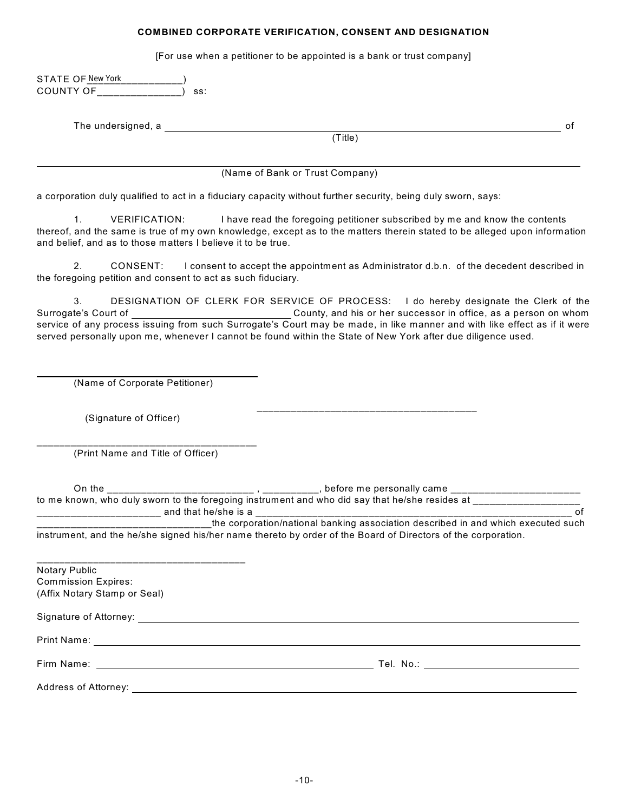## **COMBINED CORPORATE VERIFICATION, CONSENT AND DESIGNATION**

[For use when a petitioner to be appointed is a bank or trust company]

| STATE OF New York<br>COUNTY OF<br>ss:                                                                  |                                                                                                                                                                                                                                                                                                                                                                                                     |
|--------------------------------------------------------------------------------------------------------|-----------------------------------------------------------------------------------------------------------------------------------------------------------------------------------------------------------------------------------------------------------------------------------------------------------------------------------------------------------------------------------------------------|
|                                                                                                        |                                                                                                                                                                                                                                                                                                                                                                                                     |
| The undersigned, a                                                                                     | οf<br>(Title)                                                                                                                                                                                                                                                                                                                                                                                       |
|                                                                                                        |                                                                                                                                                                                                                                                                                                                                                                                                     |
|                                                                                                        | (Name of Bank or Trust Company)                                                                                                                                                                                                                                                                                                                                                                     |
|                                                                                                        | a corporation duly qualified to act in a fiduciary capacity without further security, being duly sworn, says:                                                                                                                                                                                                                                                                                       |
| 1 <sub>1</sub><br><b>VERIFICATION:</b><br>and belief, and as to those matters I believe it to be true. | I have read the foregoing petitioner subscribed by me and know the contents<br>thereof, and the same is true of my own knowledge, except as to the matters therein stated to be alleged upon information                                                                                                                                                                                            |
| 2.<br>CONSENT:<br>the foregoing petition and consent to act as such fiduciary.                         | I consent to accept the appointment as Administrator d.b.n. of the decedent described in                                                                                                                                                                                                                                                                                                            |
| 3.<br>Surrogate's Court of                                                                             | DESIGNATION OF CLERK FOR SERVICE OF PROCESS: I do hereby designate the Clerk of the<br>County, and his or her successor in office, as a person on whom<br>service of any process issuing from such Surrogate's Court may be made, in like manner and with like effect as if it were<br>served personally upon me, whenever I cannot be found within the State of New York after due diligence used. |
| (Name of Corporate Petitioner)                                                                         |                                                                                                                                                                                                                                                                                                                                                                                                     |
| (Signature of Officer)                                                                                 |                                                                                                                                                                                                                                                                                                                                                                                                     |
| (Print Name and Title of Officer)                                                                      |                                                                                                                                                                                                                                                                                                                                                                                                     |
|                                                                                                        |                                                                                                                                                                                                                                                                                                                                                                                                     |
|                                                                                                        | оf                                                                                                                                                                                                                                                                                                                                                                                                  |
|                                                                                                        | the corporation/national banking association described in and which executed such<br>instrument, and the he/she signed his/her name thereto by order of the Board of Directors of the corporation.                                                                                                                                                                                                  |
| <b>Notary Public</b><br><b>Commission Expires:</b><br>(Affix Notary Stamp or Seal)                     |                                                                                                                                                                                                                                                                                                                                                                                                     |
|                                                                                                        |                                                                                                                                                                                                                                                                                                                                                                                                     |
|                                                                                                        |                                                                                                                                                                                                                                                                                                                                                                                                     |
|                                                                                                        |                                                                                                                                                                                                                                                                                                                                                                                                     |
|                                                                                                        |                                                                                                                                                                                                                                                                                                                                                                                                     |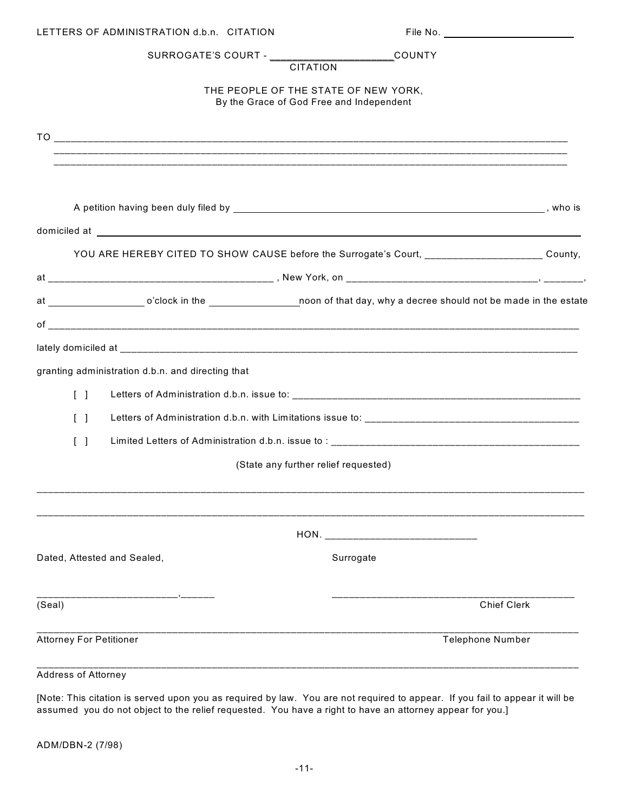| LETTERS OF ADMINISTRATION d.b.n. CITATION         |                                                                                                                                                                                                                                      |
|---------------------------------------------------|--------------------------------------------------------------------------------------------------------------------------------------------------------------------------------------------------------------------------------------|
| SURROGATE'S COURT - CITATION                      | $\Box$ COUNTY                                                                                                                                                                                                                        |
|                                                   |                                                                                                                                                                                                                                      |
|                                                   | THE PEOPLE OF THE STATE OF NEW YORK,<br>By the Grace of God Free and Independent                                                                                                                                                     |
|                                                   |                                                                                                                                                                                                                                      |
|                                                   |                                                                                                                                                                                                                                      |
|                                                   |                                                                                                                                                                                                                                      |
|                                                   |                                                                                                                                                                                                                                      |
|                                                   | domiciled at <u>example and a series of the series of the series of the series of the series of the series of the series of the series of the series of the series of the series of the series of the series of the series of th</u> |
|                                                   |                                                                                                                                                                                                                                      |
|                                                   |                                                                                                                                                                                                                                      |
|                                                   | at _________________________o'clock in the ________________________noon of that day, why a decree should not be made in the estate                                                                                                   |
|                                                   |                                                                                                                                                                                                                                      |
|                                                   |                                                                                                                                                                                                                                      |
| granting administration d.b.n. and directing that |                                                                                                                                                                                                                                      |
| $\begin{bmatrix} 1 \end{bmatrix}$                 |                                                                                                                                                                                                                                      |
| $\lceil$ $\rceil$                                 |                                                                                                                                                                                                                                      |
| $\Box$                                            |                                                                                                                                                                                                                                      |
|                                                   | (State any further relief requested)                                                                                                                                                                                                 |
|                                                   |                                                                                                                                                                                                                                      |
|                                                   |                                                                                                                                                                                                                                      |
|                                                   |                                                                                                                                                                                                                                      |
| Dated, Attested and Sealed,                       | Surrogate                                                                                                                                                                                                                            |
|                                                   |                                                                                                                                                                                                                                      |
| (Seal)                                            | <b>Chief Clerk</b>                                                                                                                                                                                                                   |
| <b>Attorney For Petitioner</b>                    | <b>Telephone Number</b>                                                                                                                                                                                                              |
|                                                   |                                                                                                                                                                                                                                      |
| Address of Attorney                               |                                                                                                                                                                                                                                      |

[Note: This citation is served upon you as required by law. You are not required to appear. If you fail to appear it will be assumed you do not object to the relief requested. You have a right to have an attorney appear for you.]

ADM/DBN-2 (7/98)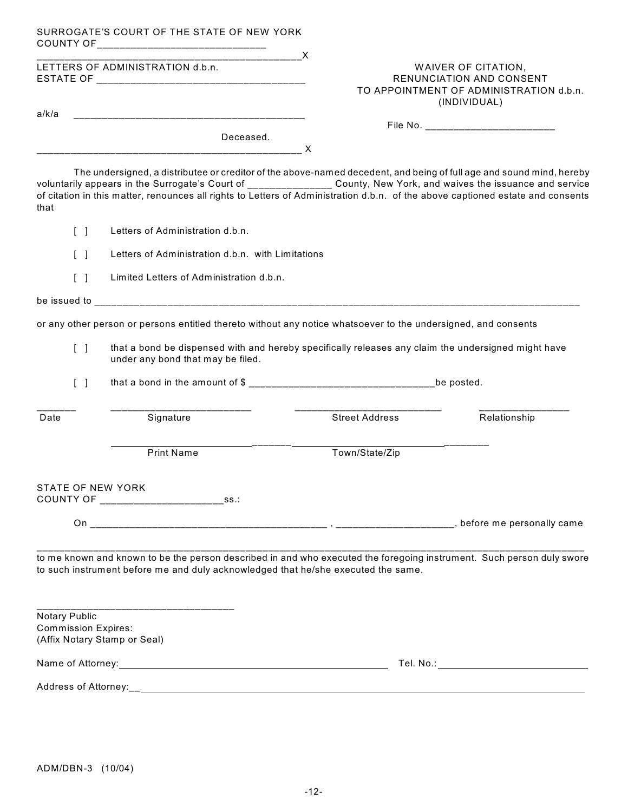|       |                                   | SURROGATE'S COURT OF THE STATE OF NEW YORK<br>COUNTY OF________________________________                                                                                                                                                                                                                                                                                                  |                                                                                                            |              |  |
|-------|-----------------------------------|------------------------------------------------------------------------------------------------------------------------------------------------------------------------------------------------------------------------------------------------------------------------------------------------------------------------------------------------------------------------------------------|------------------------------------------------------------------------------------------------------------|--------------|--|
|       |                                   | $\overline{\phantom{a}}$ x<br>LETTERS OF ADMINISTRATION d.b.n.                                                                                                                                                                                                                                                                                                                           | WAIVER OF CITATION,<br>RENUNCIATION AND CONSENT<br>TO APPOINTMENT OF ADMINISTRATION d.b.n.<br>(INDIVIDUAL) |              |  |
| a/k/a |                                   |                                                                                                                                                                                                                                                                                                                                                                                          |                                                                                                            |              |  |
|       |                                   | Deceased.                                                                                                                                                                                                                                                                                                                                                                                |                                                                                                            |              |  |
|       |                                   |                                                                                                                                                                                                                                                                                                                                                                                          |                                                                                                            |              |  |
| that  |                                   | The undersigned, a distributee or creditor of the above-named decedent, and being of full age and sound mind, hereby<br>voluntarily appears in the Surrogate's Court of ___________ <b>____</b> County, New York, and waives the issuance and service<br>of citation in this matter, renounces all rights to Letters of Administration d.b.n. of the above captioned estate and consents |                                                                                                            |              |  |
|       | $\begin{bmatrix} 1 \end{bmatrix}$ | Letters of Administration d.b.n.                                                                                                                                                                                                                                                                                                                                                         |                                                                                                            |              |  |
|       | $\lceil \; \rceil$                | Letters of Administration d.b.n. with Limitations                                                                                                                                                                                                                                                                                                                                        |                                                                                                            |              |  |
|       | $\begin{bmatrix} 1 \end{bmatrix}$ | Limited Letters of Administration d.b.n.                                                                                                                                                                                                                                                                                                                                                 |                                                                                                            |              |  |
|       |                                   |                                                                                                                                                                                                                                                                                                                                                                                          |                                                                                                            |              |  |
|       |                                   | or any other person or persons entitled thereto without any notice whatsoever to the undersigned, and consents                                                                                                                                                                                                                                                                           |                                                                                                            |              |  |
|       | $\begin{bmatrix} 1 \end{bmatrix}$ | that a bond be dispensed with and hereby specifically releases any claim the undersigned might have<br>under any bond that may be filed.                                                                                                                                                                                                                                                 |                                                                                                            |              |  |
|       | $\begin{bmatrix} 1 \end{bmatrix}$ |                                                                                                                                                                                                                                                                                                                                                                                          |                                                                                                            |              |  |
| Date  |                                   | Signature                                                                                                                                                                                                                                                                                                                                                                                | <b>Street Address</b>                                                                                      | Relationship |  |
|       |                                   | <b>Print Name</b>                                                                                                                                                                                                                                                                                                                                                                        | Town/State/Zip                                                                                             |              |  |
|       |                                   | <b>STATE OF NEW YORK</b><br>$\square$ ss.:<br>COUNTY OF _____________________                                                                                                                                                                                                                                                                                                            |                                                                                                            |              |  |
|       |                                   |                                                                                                                                                                                                                                                                                                                                                                                          |                                                                                                            |              |  |
|       |                                   | to me known and known to be the person described in and who executed the foregoing instrument. Such person duly swore<br>to such instrument before me and duly acknowledged that he/she executed the same.                                                                                                                                                                               |                                                                                                            |              |  |
|       | Notary Public                     | <b>Commission Expires:</b><br>(Affix Notary Stamp or Seal)                                                                                                                                                                                                                                                                                                                               |                                                                                                            |              |  |
|       |                                   |                                                                                                                                                                                                                                                                                                                                                                                          |                                                                                                            |              |  |
|       |                                   |                                                                                                                                                                                                                                                                                                                                                                                          |                                                                                                            |              |  |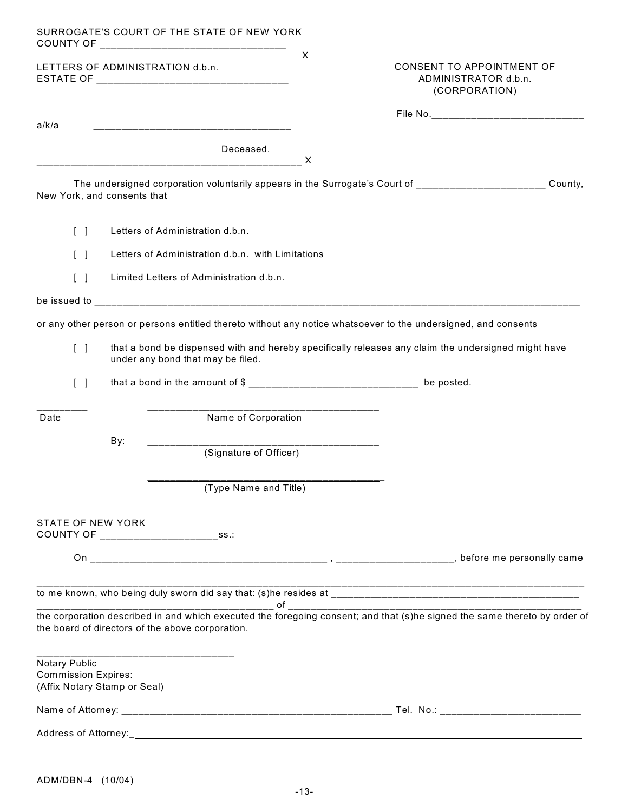|                                                                             |                                                   | SURROGATE'S COURT OF THE STATE OF NEW YORK<br>$\overline{\phantom{a}}$ $\overline{\phantom{a}}$ $\overline{\phantom{a}}$ $\overline{\phantom{a}}$ $\overline{\phantom{a}}$ $\overline{\phantom{a}}$ $\overline{\phantom{a}}$ $\overline{\phantom{a}}$ $\overline{\phantom{a}}$ $\overline{\phantom{a}}$ $\overline{\phantom{a}}$ $\overline{\phantom{a}}$ $\overline{\phantom{a}}$ $\overline{\phantom{a}}$ $\overline{\phantom{a}}$ $\overline{\phantom{a}}$ $\overline{\phantom{a}}$ $\overline{\phantom{a}}$ $\overline{\$ |  |                                                                           |         |  |
|-----------------------------------------------------------------------------|---------------------------------------------------|-------------------------------------------------------------------------------------------------------------------------------------------------------------------------------------------------------------------------------------------------------------------------------------------------------------------------------------------------------------------------------------------------------------------------------------------------------------------------------------------------------------------------------|--|---------------------------------------------------------------------------|---------|--|
|                                                                             |                                                   | LETTERS OF ADMINISTRATION d.b.n.                                                                                                                                                                                                                                                                                                                                                                                                                                                                                              |  | <b>CONSENT TO APPOINTMENT OF</b><br>ADMINISTRATOR d.b.n.<br>(CORPORATION) |         |  |
| a/k/a                                                                       |                                                   | <u> 1980 - Jan James, Amerikaansk politiker (d. 1980)</u>                                                                                                                                                                                                                                                                                                                                                                                                                                                                     |  |                                                                           |         |  |
|                                                                             |                                                   | Deceased.                                                                                                                                                                                                                                                                                                                                                                                                                                                                                                                     |  |                                                                           |         |  |
| New York, and consents that                                                 |                                                   | The undersigned corporation voluntarily appears in the Surrogate's Court of _______________________                                                                                                                                                                                                                                                                                                                                                                                                                           |  |                                                                           | County, |  |
| $\begin{bmatrix} 1 \end{bmatrix}$                                           |                                                   | Letters of Administration d.b.n.                                                                                                                                                                                                                                                                                                                                                                                                                                                                                              |  |                                                                           |         |  |
| $\begin{bmatrix} 1 \end{bmatrix}$                                           | Letters of Administration d.b.n. with Limitations |                                                                                                                                                                                                                                                                                                                                                                                                                                                                                                                               |  |                                                                           |         |  |
| $\begin{bmatrix} 1 \end{bmatrix}$                                           |                                                   | Limited Letters of Administration d.b.n.                                                                                                                                                                                                                                                                                                                                                                                                                                                                                      |  |                                                                           |         |  |
|                                                                             |                                                   |                                                                                                                                                                                                                                                                                                                                                                                                                                                                                                                               |  |                                                                           |         |  |
|                                                                             |                                                   | or any other person or persons entitled thereto without any notice whatsoever to the undersigned, and consents                                                                                                                                                                                                                                                                                                                                                                                                                |  |                                                                           |         |  |
| $\begin{bmatrix} 1 \end{bmatrix}$                                           |                                                   | that a bond be dispensed with and hereby specifically releases any claim the undersigned might have<br>under any bond that may be filed.                                                                                                                                                                                                                                                                                                                                                                                      |  |                                                                           |         |  |
| $\begin{bmatrix} 1 \end{bmatrix}$                                           |                                                   | that a bond in the amount of $\frac{1}{2}$ _______________________________ be posted.                                                                                                                                                                                                                                                                                                                                                                                                                                         |  |                                                                           |         |  |
| Date                                                                        |                                                   | Name of Corporation                                                                                                                                                                                                                                                                                                                                                                                                                                                                                                           |  |                                                                           |         |  |
|                                                                             | By:                                               | (Signature of Officer)                                                                                                                                                                                                                                                                                                                                                                                                                                                                                                        |  |                                                                           |         |  |
|                                                                             |                                                   | (Type Name and Title)                                                                                                                                                                                                                                                                                                                                                                                                                                                                                                         |  |                                                                           |         |  |
| <b>STATE OF NEW YORK</b><br>COUNTY OF _________________                     |                                                   | $\Box$ ss.:                                                                                                                                                                                                                                                                                                                                                                                                                                                                                                                   |  |                                                                           |         |  |
|                                                                             |                                                   |                                                                                                                                                                                                                                                                                                                                                                                                                                                                                                                               |  |                                                                           |         |  |
|                                                                             |                                                   |                                                                                                                                                                                                                                                                                                                                                                                                                                                                                                                               |  |                                                                           |         |  |
|                                                                             |                                                   | the corporation described in and which executed the foregoing consent; and that (s)he signed the same thereto by order of<br>the board of directors of the above corporation.                                                                                                                                                                                                                                                                                                                                                 |  |                                                                           |         |  |
| Notary Public<br><b>Commission Expires:</b><br>(Affix Notary Stamp or Seal) |                                                   |                                                                                                                                                                                                                                                                                                                                                                                                                                                                                                                               |  |                                                                           |         |  |
|                                                                             |                                                   |                                                                                                                                                                                                                                                                                                                                                                                                                                                                                                                               |  |                                                                           |         |  |
|                                                                             |                                                   |                                                                                                                                                                                                                                                                                                                                                                                                                                                                                                                               |  |                                                                           |         |  |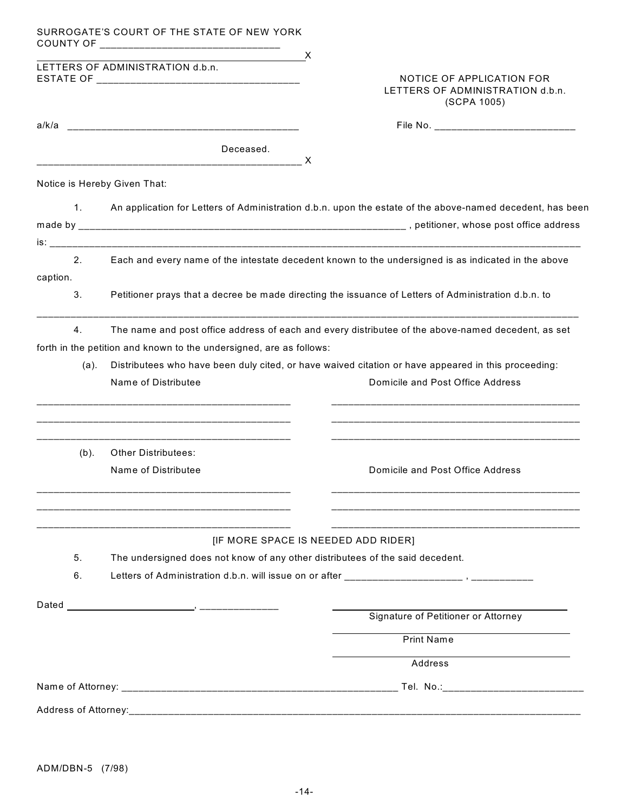|                              | SURROGATE'S COURT OF THE STATE OF NEW YORK                                    |                                                                                                                                                                                                           |
|------------------------------|-------------------------------------------------------------------------------|-----------------------------------------------------------------------------------------------------------------------------------------------------------------------------------------------------------|
|                              | $\overline{\phantom{a}}$ x<br>LETTERS OF ADMINISTRATION d.b.n.                | NOTICE OF APPLICATION FOR<br>LETTERS OF ADMINISTRATION d.b.n.<br>(SCPA 1005)                                                                                                                              |
|                              |                                                                               |                                                                                                                                                                                                           |
|                              | Deceased.                                                                     |                                                                                                                                                                                                           |
| Notice is Hereby Given That: |                                                                               |                                                                                                                                                                                                           |
| 1.                           |                                                                               | An application for Letters of Administration d.b.n. upon the estate of the above-named decedent, has been                                                                                                 |
|                              |                                                                               |                                                                                                                                                                                                           |
| 2 <sub>1</sub><br>caption.   |                                                                               | Each and every name of the intestate decedent known to the undersigned is as indicated in the above                                                                                                       |
| 3.                           |                                                                               | Petitioner prays that a decree be made directing the issuance of Letters of Administration d.b.n. to                                                                                                      |
| 4.<br>(a).                   | forth in the petition and known to the undersigned, are as follows:           | The name and post office address of each and every distributee of the above-named decedent, as set<br>Distributees who have been duly cited, or have waived citation or have appeared in this proceeding: |
|                              | Name of Distributee                                                           | Domicile and Post Office Address<br><u> 1999 - Jan James James Jan James James James James James James James James James James James James James Jam</u>                                                  |
| $(b)$ .                      | <b>Other Distributees:</b><br>Name of Distributee                             | Domicile and Post Office Address                                                                                                                                                                          |
| 5.<br>6.                     | The undersigned does not know of any other distributees of the said decedent. | [IF MORE SPACE IS NEEDED ADD RIDER]                                                                                                                                                                       |
| Dated                        |                                                                               | Signature of Petitioner or Attorney                                                                                                                                                                       |
|                              |                                                                               | <b>Print Name</b>                                                                                                                                                                                         |
|                              |                                                                               | Address                                                                                                                                                                                                   |
|                              |                                                                               | Tel. No.:__________________________                                                                                                                                                                       |
|                              |                                                                               |                                                                                                                                                                                                           |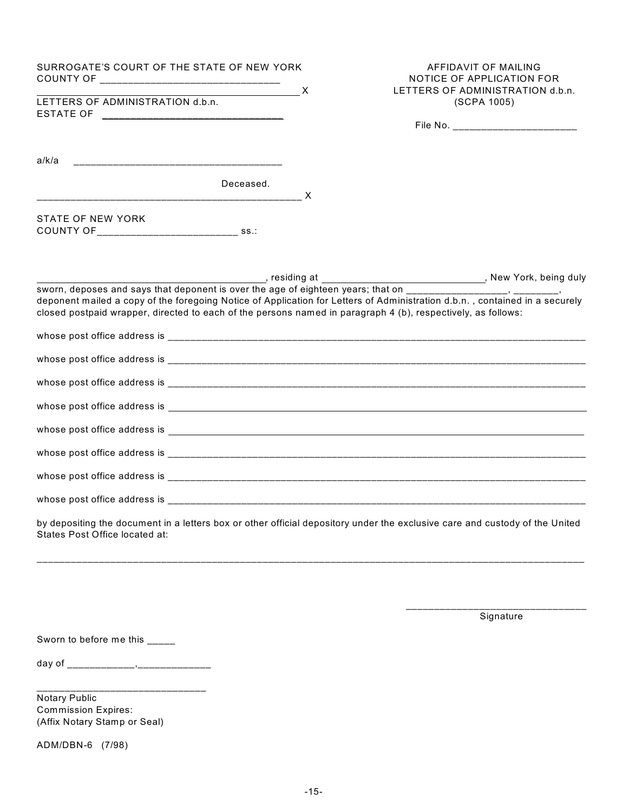| SURROGATE'S COURT OF THE STATE OF NEW YORK                                                                                                                    | AFFIDAVIT OF MAILING<br>NOTICE OF APPLICATION FOR<br>LETTERS OF ADMINISTRATION d.b.n.                                       |
|---------------------------------------------------------------------------------------------------------------------------------------------------------------|-----------------------------------------------------------------------------------------------------------------------------|
| $\overline{\phantom{a}}$ x<br>LETTERS OF ADMINISTRATION d.b.n.                                                                                                | (SCPA 1005)                                                                                                                 |
|                                                                                                                                                               |                                                                                                                             |
|                                                                                                                                                               |                                                                                                                             |
| Deceased.                                                                                                                                                     |                                                                                                                             |
| <b>STATE OF NEW YORK</b><br>$\blacksquare$ ss.:                                                                                                               |                                                                                                                             |
|                                                                                                                                                               |                                                                                                                             |
| closed postpaid wrapper, directed to each of the persons named in paragraph 4 (b), respectively, as follows:                                                  | deponent mailed a copy of the foregoing Notice of Application for Letters of Administration d.b.n., contained in a securely |
|                                                                                                                                                               |                                                                                                                             |
|                                                                                                                                                               |                                                                                                                             |
|                                                                                                                                                               |                                                                                                                             |
|                                                                                                                                                               |                                                                                                                             |
|                                                                                                                                                               |                                                                                                                             |
|                                                                                                                                                               |                                                                                                                             |
|                                                                                                                                                               |                                                                                                                             |
|                                                                                                                                                               |                                                                                                                             |
| by depositing the document in a letters box or other official depository under the exclusive care and custody of the United<br>States Post Office located at: |                                                                                                                             |
|                                                                                                                                                               |                                                                                                                             |

\_\_\_\_\_\_\_\_\_\_\_\_\_\_\_\_\_\_\_\_\_\_\_\_\_\_\_\_\_\_\_\_ Signature

Sworn to before me this \_\_\_\_\_

day of \_\_\_\_\_\_\_\_\_\_\_\_,\_\_\_\_\_\_\_\_\_\_\_\_\_

 $\overline{\phantom{a}}$  ,  $\overline{\phantom{a}}$  ,  $\overline{\phantom{a}}$  ,  $\overline{\phantom{a}}$  ,  $\overline{\phantom{a}}$  ,  $\overline{\phantom{a}}$  ,  $\overline{\phantom{a}}$  ,  $\overline{\phantom{a}}$  ,  $\overline{\phantom{a}}$  ,  $\overline{\phantom{a}}$  ,  $\overline{\phantom{a}}$  ,  $\overline{\phantom{a}}$  ,  $\overline{\phantom{a}}$  ,  $\overline{\phantom{a}}$  ,  $\overline{\phantom{a}}$  ,  $\overline{\phantom{a}}$ Notary Public Commission Expires: (Affix Notary Stamp or Seal)

ADM/DBN-6 (7/98)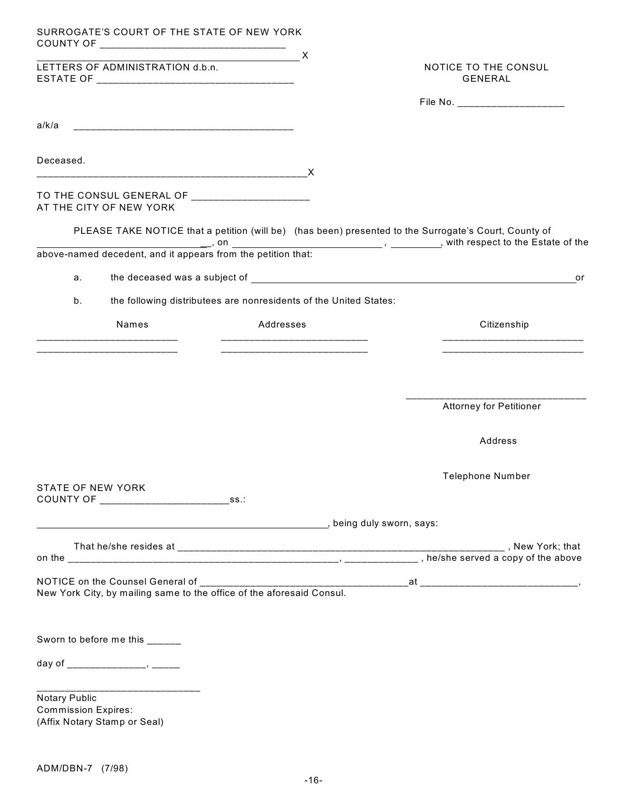| SURROGATE'S COURT OF THE STATE OF NEW YORK                                                                           | $\blacksquare$                                                    |                                                                                                       |
|----------------------------------------------------------------------------------------------------------------------|-------------------------------------------------------------------|-------------------------------------------------------------------------------------------------------|
| LETTERS OF ADMINISTRATION d.b.n.                                                                                     | $\overline{\phantom{a}}$ x                                        | NOTICE TO THE CONSUL<br>GENERAL                                                                       |
|                                                                                                                      |                                                                   | File No. _______________________                                                                      |
| a/k/a                                                                                                                |                                                                   |                                                                                                       |
| Deceased.                                                                                                            |                                                                   |                                                                                                       |
| TO THE CONSUL GENERAL OF _______________________<br>AT THE CITY OF NEW YORK                                          |                                                                   |                                                                                                       |
| $\blacksquare$ , on                                                                                                  |                                                                   | PLEASE TAKE NOTICE that a petition (will be) (has been) presented to the Surrogate's Court, County of |
| above-named decedent, and it appears from the petition that:                                                         |                                                                   |                                                                                                       |
| а.                                                                                                                   |                                                                   | or                                                                                                    |
| b.                                                                                                                   | the following distributees are nonresidents of the United States: |                                                                                                       |
| Names                                                                                                                | Addresses                                                         | Citizenship                                                                                           |
|                                                                                                                      |                                                                   | <u> 2002 - Johann John Stor, Amerikaansk politiker (</u>                                              |
|                                                                                                                      |                                                                   |                                                                                                       |
|                                                                                                                      |                                                                   |                                                                                                       |
|                                                                                                                      |                                                                   | <b>Attorney for Petitioner</b>                                                                        |
|                                                                                                                      |                                                                   | Address                                                                                               |
|                                                                                                                      |                                                                   | <b>Telephone Number</b>                                                                               |
| STATE OF NEW YORK<br>COUNTY OF ____________________                                                                  | $\square$ ss.:                                                    |                                                                                                       |
|                                                                                                                      |                                                                   |                                                                                                       |
|                                                                                                                      |                                                                   |                                                                                                       |
|                                                                                                                      |                                                                   |                                                                                                       |
| NOTICE on the Counsel General of __________<br>New York City, by mailing same to the office of the aforesaid Consul. |                                                                   |                                                                                                       |
|                                                                                                                      |                                                                   |                                                                                                       |
| Sworn to before me this ______                                                                                       |                                                                   |                                                                                                       |
|                                                                                                                      |                                                                   |                                                                                                       |
| __________________________<br>Notary Public                                                                          |                                                                   |                                                                                                       |
| <b>Commission Expires:</b><br>(Affix Notary Stamp or Seal)                                                           |                                                                   |                                                                                                       |